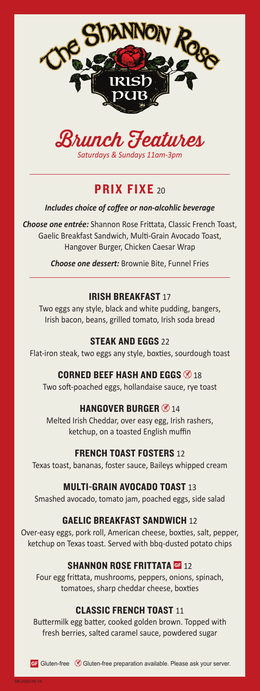



# **PRIX FIXE 20**

### *Includes choice of coffee or non-alcohlic beverage*

*Choose one entrée:* Shannon Rose Frittata, Classic French Toast, Gaelic Breakfast Sandwich, Multi-Grain Avocado Toast, Hangover Burger, Chicken Caesar Wrap

*Choose one dessert:* Brownie Bite, Funnel Fries

# IRISH BREAKFAST 17

Two eggs any style, black and white pudding, bangers, Irish bacon, beans, grilled tomato, Irish soda bread

# STEAK AND EGGS 22

Flat-iron steak, two eggs any style, boxties, sourdough toast

# CORNED BEEF HASH AND EGGS  $\otimes$  18

Two soft-poached eggs, hollandaise sauce, rye toast

# HANGOVER BURGER  $\otimes$  14

Melted Irish Cheddar, over easy egg, Irish rashers, ketchup, on a toasted English muffin

## FRENCH TOAST FOSTERS 12

Texas toast, bananas, foster sauce, Baileys whipped cream

# MULTI-GRAIN AVOCADO TOAST 13

Smashed avocado, tomato jam, poached eggs, side salad

# GAELIC BREAKFAST SANDWICH 12

Over-easy eggs, pork roll, American cheese, boxties, salt, pepper, ketchup on Texas toast. Served with bbq-dusted potato chips

# **SHANNON ROSE FRITTATA GF 12**

Four egg frittata, mushrooms, peppers, onions, spinach, tomatoes, sharp cheddar cheese, boxties

# CLASSIC FRENCH TOAST 11

Buttermilk egg batter, cooked golden brown. Topped with fresh berries, salted caramel sauce, powdered sugar